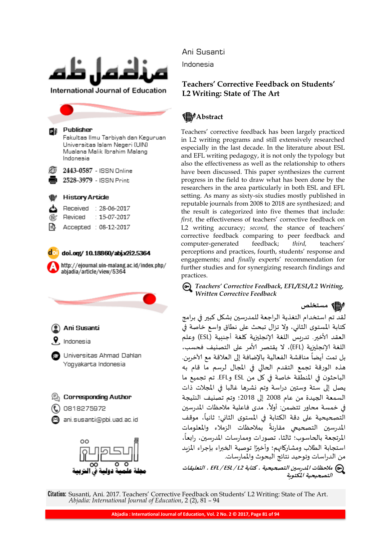

**International Journal of Education** 

#### Publisher РĐ

Fakultas Ilmu Tarbiyah dan Keguruan Universitas Islam Negeri (UIN) Mualana Malik Ibrahim Malang Indonesia

2443-0587 - ISSN Online

2528-3979 - ISSN Print

#### **History Article**

- Received  $: 28 - 06 - 2017$  $: 15-07-2017$ Reviced
- Accepted : 08-12-2017
- 

 $d$  doi.org/ 10.18860/abj.v2i2.5364

http://ejournal.uin-malang.ac.id/index.php/ abjadia/article/view/5364



Ani Susanti

Indonesia

#### **Teachers' Corrective Feedback on Students' L2 Writing: State of The Art**

#### **售**/Abstract

Teachers" corrective feedback has been largely practiced in L2 writing programs and still extensively researched especially in the last decade. In the literature about ESL and EFL writing pedagogy, it is not only the typology but also the effectiveness as well as the relationship to others have been discussed. This paper synthesizes the current progress in the field to draw what has been done by the researchers in the area particularly in both ESL and EFL setting. As many as sixty-six studies mostly published in reputable journals from 2008 to 2018 are synthesized; and the result is categorized into five themes that include: *first*, the effectiveness of teachers' corrective feedback on L2 writing accuracy; second, the stance of teachers' corrective feedback comparing to peer feedback and computer-generated feedback; *third,* teachers" perceptions and practices, fourth, students' response and engagements; and *finally* experts' recommendation for further studies and for synergizing research findings and practices.

*Teachers' Corrective Feedback, EFL/ESL/L2 Writing, Written Corrective Feedback*

**مستخلص**

لقد تم استخدام التغذية الراجعة للمدرسين بشكل كبير في برامج كتابة المستوى الثاني، ولا تزال تبحث على نطاق واسع خاصة في العقد الأخير. تدريس اللغة الإنجليزية كلغة أجننية (ESL) وعلم اللغة الإنجليزية (EFL)، لا يقتصر الأمر على التصنيف فحسب، بل تمت أيضاً مناقشة الفعالية بالإضافة إلى العلاقة مع الآخرين. ز<br>آ هذه الورقة تجمع التقدم الحالي في المجال لرسم ما قام به الباحثون في المنطقة خاصة في كل من ESL وEFL. تم تجميع ما يصل إلى ستة وستين دراسة وتم نشرها غالبا في المجلات ذات السمعة الجيدة من عام 2008 إلى 2018؛ وتم تصنيف النتيجة السمعة الجيدة من عام 2000 إلى 2010. وتم تصنيف التنيجة<br>في خمسة محاور تتضمن: أولاً، مدى فاعلية ملاحظات المدرسين ي حمسه محاور نتصمن. <sub>"ل</sub>وم، مدى قاعتيه مترخصات المدرسين<br>التصحيحية على دقة الكتابة في المستوى الثاني؛ ثانياً، موقف المدرسين التصحيحي مقارنةً بملاحظات الزملاء والمعلومات ֧֧֪֧֦֦֧֚֚֚֚֚֚֚֚֚֚֚֚֚֚֚֚֚֚֚֬֝֬֝֝֓֞֞֡֡֬֝֓֞֝֬֝֬ المرتجعة بالحاسوب؛ ثالثا، تصورات وممارسات المدرسين، رابعاً، ۔<br>أ استجابة الطلاب ومشاركاتهم؛ وأخيرًا توصية الخبراء بإجراء المزبد من الدراسات وتوحيد نتائج البحوث والممارسات.

**مالحظات املدرسين التصحيحية ، كتابة 2L / ESL / EFL ، التعليقات التصحيحية املكتوبة**

Citation: Susanti, Ani. 2017. Teachers" Corrective Feedback on Students" L2 Writing: State of The Art. *Abjadia: International Journal of Education*, 2 (2), 81 – 94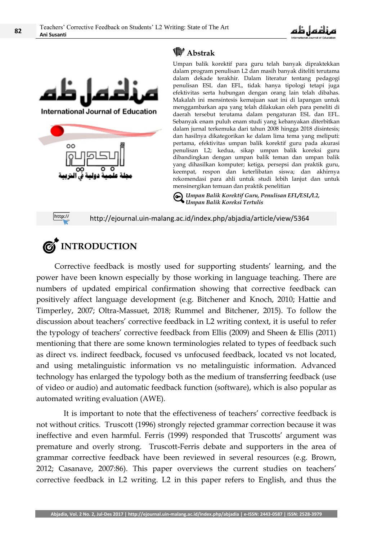



### **Abstrak**

Umpan balik korektif para guru telah banyak dipraktekkan dalam program penulisan L2 dan masih banyak diteliti terutama dalam dekade terakhir. Dalam literatur tentang pedagogi penulisan ESL dan EFL, tidak hanya tipologi tetapi juga efektivitas serta hubungan dengan orang lain telah dibahas. Makalah ini mensintesis kemajuan saat ini di lapangan untuk menggambarkan apa yang telah dilakukan oleh para peneliti di daerah tersebut terutama dalam pengaturan ESL dan EFL. Sebanyak enam puluh enam studi yang kebanyakan diterbitkan dalam jurnal terkemuka dari tahun 2008 hingga 2018 disintesis; dan hasilnya dikategorikan ke dalam lima tema yang meliputi: pertama, efektivitas umpan balik korektif guru pada akurasi penulisan L2; kedua, sikap umpan balik koreksi guru dibandingkan dengan umpan balik teman dan umpan balik yang dihasilkan komputer; ketiga, persepsi dan praktik guru, keempat, respon dan keterlibatan siswa; dan akhirnya rekomendasi para ahli untuk studi lebih lanjut dan untuk mensinergikan temuan dan praktik penelitian

*Umpan Balik Korektif Guru, Penulisan EFL/ESL/L2, Umpan Balik Koreksi Tertulis*

http://

http://ejournal.uin-malang.ac.id/index.php/abjadia/article/view/5364



Corrective feedback is mostly used for supporting students' learning, and the power have been known especially by those working in language teaching. There are numbers of updated empirical confirmation showing that corrective feedback can positively affect language development (e.g. Bitchener and Knoch, 2010; Hattie and Timperley, 2007; Oltra-Massuet, 2018; Rummel and Bitchener, 2015). To follow the discussion about teachers' corrective feedback in L2 writing context, it is useful to refer the typology of teachers' corrective feedback from Ellis (2009) and Sheen & Ellis (2011) mentioning that there are some known terminologies related to types of feedback such as direct vs. indirect feedback, focused vs unfocused feedback, located vs not located, and using metalinguistic information vs no metalinguistic information. Advanced technology has enlarged the typology both as the medium of transferring feedback (use of video or audio) and automatic feedback function (software), which is also popular as automated writing evaluation (AWE).

It is important to note that the effectiveness of teachers' corrective feedback is not without critics. Truscott (1996) strongly rejected grammar correction because it was ineffective and even harmful. Ferris (1999) responded that Truscotts' argument was premature and overly strong. Truscott-Ferris debate and supporters in the area of grammar corrective feedback have been reviewed in several resources (e.g. Brown, 2012; Casanave, 2007:86). This paper overviews the current studies on teachers" corrective feedback in L2 writing. L2 in this paper refers to English, and thus the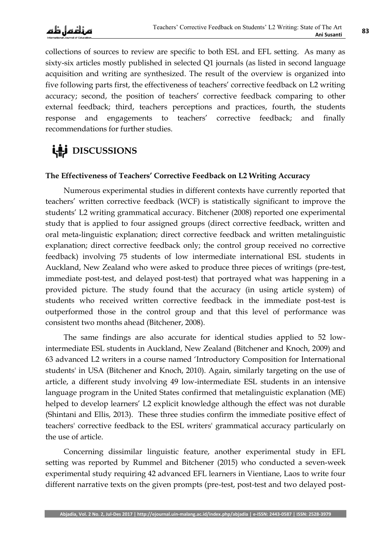collections of sources to review are specific to both ESL and EFL setting. As many as sixty-six articles mostly published in selected Q1 journals (as listed in second language acquisition and writing are synthesized. The result of the overview is organized into five following parts first, the effectiveness of teachers' corrective feedback on L2 writing accuracy; second, the position of teachers' corrective feedback comparing to other external feedback; third, teachers perceptions and practices, fourth, the students response and engagements to teachers' corrective feedback; and finally recommendations for further studies.

## **LAS** DISCUSSIONS

#### **The Effectiveness of Teachers' Corrective Feedback on L2 Writing Accuracy**

Numerous experimental studies in different contexts have currently reported that teachers" written corrective feedback (WCF) is statistically significant to improve the students" L2 writing grammatical accuracy. Bitchener (2008) reported one experimental study that is applied to four assigned groups (direct corrective feedback, written and oral meta-linguistic explanation; direct corrective feedback and written metalinguistic explanation; direct corrective feedback only; the control group received no corrective feedback) involving 75 students of low intermediate international ESL students in Auckland, New Zealand who were asked to produce three pieces of writings (pre-test, immediate post-test, and delayed post-test) that portrayed what was happening in a provided picture. The study found that the accuracy (in using article system) of students who received written corrective feedback in the immediate post-test is outperformed those in the control group and that this level of performance was consistent two months ahead (Bitchener, 2008).

The same findings are also accurate for identical studies applied to 52 lowintermediate ESL students in Auckland, New Zealand (Bitchener and Knoch, 2009) and 63 advanced L2 writers in a course named "Introductory Composition for International students' in USA (Bitchener and Knoch, 2010). Again, similarly targeting on the use of article, a different study involving 49 low-intermediate ESL students in an intensive language program in the United States confirmed that metalinguistic explanation (ME) helped to develop learners' L2 explicit knowledge although the effect was not durable (Shintani and Ellis, 2013). These three studies confirm the immediate positive effect of teachers' corrective feedback to the ESL writers' grammatical accuracy particularly on the use of article.

Concerning dissimilar linguistic feature, another experimental study in EFL setting was reported by Rummel and Bitchener (2015) who conducted a seven-week experimental study requiring 42 advanced EFL learners in Vientiane, Laos to write four different narrative texts on the given prompts (pre-test, post-test and two delayed post-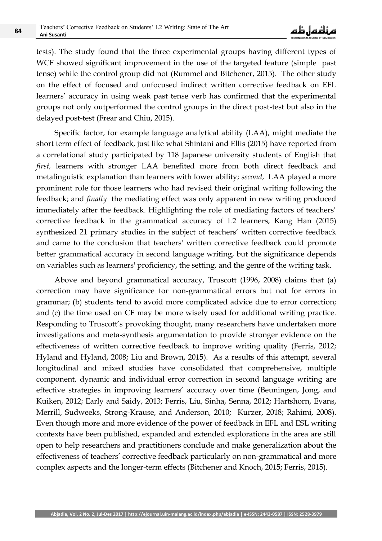tests). The study found that the three experimental groups having different types of WCF showed significant improvement in the use of the targeted feature (simple past tense) while the control group did not (Rummel and Bitchener, 2015). The other study on the effect of focused and unfocused indirect written corrective feedback on EFL learners' accuracy in using weak past tense verb has confirmed that the experimental groups not only outperformed the control groups in the direct post-test but also in the delayed post-test (Frear and Chiu, 2015).

Specific factor, for example language analytical ability (LAA), might mediate the short term effect of feedback, just like what Shintani and Ellis (2015) have reported from a correlational study participated by 118 Japanese university students of English that *first,* learners with stronger LAA benefited more from both direct feedback and metalinguistic explanation than learners with lower ability; *second*, LAA played a more prominent role for those learners who had revised their original writing following the feedback; and *finally* the mediating effect was only apparent in new writing produced immediately after the feedback. Highlighting the role of mediating factors of teachers' corrective feedback in the grammatical accuracy of L2 learners, Kang Han (2015) synthesized 21 primary studies in the subject of teachers' written corrective feedback and came to the conclusion that teachers' written corrective feedback could promote better grammatical accuracy in second language writing, but the significance depends on variables such as learners' proficiency, the setting, and the genre of the writing task.

Above and beyond grammatical accuracy, Truscott (1996, 2008) claims that (a) correction may have significance for non-grammatical errors but not for errors in grammar; (b) students tend to avoid more complicated advice due to error correction; and (c) the time used on CF may be more wisely used for additional writing practice. Responding to Truscott's provoking thought, many researchers have undertaken more investigations and meta-synthesis argumentation to provide stronger evidence on the effectiveness of written corrective feedback to improve writing quality (Ferris, 2012; Hyland and Hyland, 2008; Liu and Brown, 2015). As a results of this attempt, several longitudinal and mixed studies have consolidated that comprehensive, multiple component, dynamic and individual error correction in second language writing are effective strategies in improving learners' accuracy over time (Beuningen, Jong, and Kuiken, 2012; Early and Saidy, 2013; Ferris, Liu, Sinha, Senna, 2012; Hartshorn, Evans, Merrill, Sudweeks, Strong-Krause, and Anderson, 2010; Kurzer, 2018; Rahimi, 2008). Even though more and more evidence of the power of feedback in EFL and ESL writing contexts have been published, expanded and extended explorations in the area are still open to help researchers and practitioners conclude and make generalization about the effectiveness of teachers' corrective feedback particularly on non-grammatical and more complex aspects and the longer-term effects (Bitchener and Knoch, 2015; Ferris, 2015).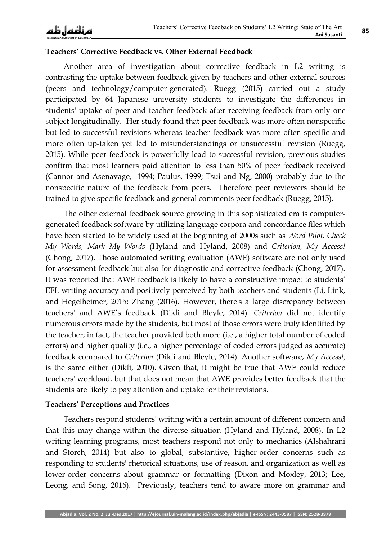#### **Teachers' Corrective Feedback vs. Other External Feedback**

Another area of investigation about corrective feedback in L2 writing is contrasting the uptake between feedback given by teachers and other external sources (peers and technology/computer-generated). Ruegg (2015) carried out a study participated by 64 Japanese university students to investigate the differences in students' uptake of peer and teacher feedback after receiving feedback from only one subject longitudinally. Her study found that peer feedback was more often nonspecific but led to successful revisions whereas teacher feedback was more often specific and more often up-taken yet led to misunderstandings or unsuccessful revision (Ruegg, 2015). While peer feedback is powerfully lead to successful revision, previous studies confirm that most learners paid attention to less than 50% of peer feedback received (Cannor and Asenavage, 1994; Paulus, 1999; Tsui and Ng, 2000) probably due to the nonspecific nature of the feedback from peers. Therefore peer reviewers should be trained to give specific feedback and general comments peer feedback (Ruegg, 2015).

The other external feedback source growing in this sophisticated era is computergenerated feedback software by utilizing language corpora and concordance files which have been started to be widely used at the beginning of 2000s such as *Word Pilot, Check My Words, Mark My Words* (Hyland and Hyland, 2008) and *Criterion, My Access!* (Chong, 2017). Those automated writing evaluation (AWE) software are not only used for assessment feedback but also for diagnostic and corrective feedback (Chong, 2017). It was reported that AWE feedback is likely to have a constructive impact to students' EFL writing accuracy and positively perceived by both teachers and students (Li, Link, and Hegelheimer, 2015; Zhang (2016). However, there's a large discrepancy between teachers' and AWE"s feedback (Dikli and Bleyle, 2014). *Criterion* did not identify numerous errors made by the students, but most of those errors were truly identified by the teacher; in fact, the teacher provided both more (i.e., a higher total number of coded errors) and higher quality (i.e., a higher percentage of coded errors judged as accurate) feedback compared to *Criterion* (Dikli and Bleyle, 2014). Another software, *My Access!,* is the same either (Dikli, 2010). Given that, it might be true that AWE could reduce teachers' workload, but that does not mean that AWE provides better feedback that the students are likely to pay attention and uptake for their revisions.

#### **Teachers' Perceptions and Practices**

Teachers respond students' writing with a certain amount of different concern and that this may change within the diverse situation (Hyland and Hyland, 2008). In L2 writing learning programs, most teachers respond not only to mechanics (Alshahrani and Storch, 2014) but also to global, substantive, higher-order concerns such as responding to students' rhetorical situations, use of reason, and organization as well as lower-order concerns about grammar or formatting (Dixon and Moxley, 2013; Lee, Leong, and Song, 2016). Previously, teachers tend to aware more on grammar and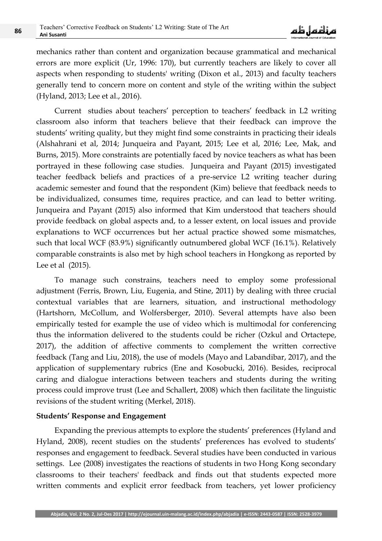mechanics rather than content and organization because grammatical and mechanical errors are more explicit (Ur, 1996: 170), but currently teachers are likely to cover all aspects when responding to students' writing (Dixon et al., 2013) and faculty teachers generally tend to concern more on content and style of the writing within the subject (Hyland, 2013; Lee et al., 2016).

Current studies about teachers' perception to teachers' feedback in L2 writing classroom also inform that teachers believe that their feedback can improve the students' writing quality, but they might find some constraints in practicing their ideals (Alshahrani et al, 2014; Junqueira and Payant, 2015; Lee et al, 2016; Lee, Mak, and Burns, 2015). More constraints are potentially faced by novice teachers as what has been portrayed in these following case studies. Junqueira and Payant (2015) investigated teacher feedback beliefs and practices of a pre-service L2 writing teacher during academic semester and found that the respondent (Kim) believe that feedback needs to be individualized, consumes time, requires practice, and can lead to better writing. Junqueira and Payant (2015) also informed that Kim understood that teachers should provide feedback on global aspects and, to a lesser extent, on local issues and provide explanations to WCF occurrences but her actual practice showed some mismatches, such that local WCF (83.9%) significantly outnumbered global WCF (16.1%). Relatively comparable constraints is also met by high school teachers in Hongkong as reported by Lee et al (2015).

To manage such constrains, teachers need to employ some professional adjustment (Ferris, Brown, Liu, Eugenia, and Stine, 2011) by dealing with three crucial contextual variables that are learners, situation, and instructional methodology (Hartshorn, McCollum, and Wolfersberger, 2010). Several attempts have also been empirically tested for example the use of video which is multimodal for conferencing thus the information delivered to the students could be richer (Ozkul and Ortactepe, 2017), the addition of affective comments to complement the written corrective feedback (Tang and Liu, 2018), the use of models (Mayo and Labandibar, 2017), and the application of supplementary rubrics (Ene and Kosobucki, 2016). Besides, reciprocal caring and dialogue interactions between teachers and students during the writing process could improve trust (Lee and Schallert, 2008) which then facilitate the linguistic revisions of the student writing (Merkel, 2018).

#### **Students' Response and Engagement**

Expanding the previous attempts to explore the students' preferences (Hyland and Hyland, 2008), recent studies on the students' preferences has evolved to students' responses and engagement to feedback. Several studies have been conducted in various settings. Lee (2008) investigates the reactions of students in two Hong Kong secondary classrooms to their teachers' feedback and finds out that students expected more written comments and explicit error feedback from teachers, yet lower proficiency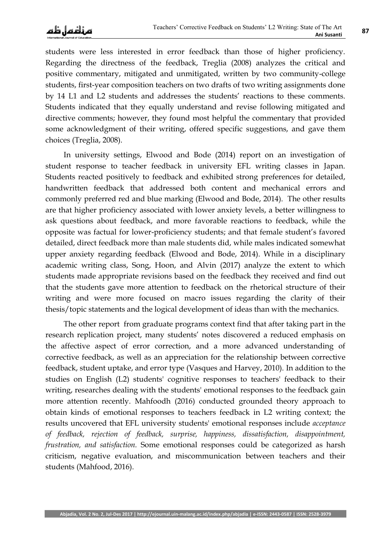students were less interested in error feedback than those of higher proficiency. Regarding the directness of the feedback, Treglia (2008) analyzes the critical and positive commentary, mitigated and unmitigated, written by two community-college students, first-year composition teachers on two drafts of two writing assignments done by 14 L1 and L2 students and addresses the students" reactions to these comments. Students indicated that they equally understand and revise following mitigated and directive comments; however, they found most helpful the commentary that provided some acknowledgment of their writing, offered specific suggestions, and gave them choices (Treglia, 2008).

In university settings, Elwood and Bode (2014) report on an investigation of student response to teacher feedback in university EFL writing classes in Japan. Students reacted positively to feedback and exhibited strong preferences for detailed, handwritten feedback that addressed both content and mechanical errors and commonly preferred red and blue marking (Elwood and Bode, 2014). The other results are that higher proficiency associated with lower anxiety levels, a better willingness to ask questions about feedback, and more favorable reactions to feedback, while the opposite was factual for lower-proficiency students; and that female student"s favored detailed, direct feedback more than male students did, while males indicated somewhat upper anxiety regarding feedback (Elwood and Bode, 2014). While in a disciplinary academic writing class, Song, Hoon, and Alvin (2017) analyze the extent to which students made appropriate revisions based on the feedback they received and find out that the students gave more attention to feedback on the rhetorical structure of their writing and were more focused on macro issues regarding the clarity of their thesis/topic statements and the logical development of ideas than with the mechanics.

The other report from graduate programs context find that after taking part in the research replication project, many students' notes discovered a reduced emphasis on the affective aspect of error correction, and a more advanced understanding of corrective feedback, as well as an appreciation for the relationship between corrective feedback, student uptake, and error type (Vasques and Harvey, 2010). In addition to the studies on English (L2) students' cognitive responses to teachers' feedback to their writing, researches dealing with the students' emotional responses to the feedback gain more attention recently. Mahfoodh (2016) conducted grounded theory approach to obtain kinds of emotional responses to teachers feedback in L2 writing context; the results uncovered that EFL university students' emotional responses include *acceptance of feedback, rejection of feedback, surprise, happiness, dissatisfaction, disappointment, frustration, and satisfaction.* Some emotional responses could be categorized as harsh criticism, negative evaluation, and miscommunication between teachers and their students (Mahfood, 2016).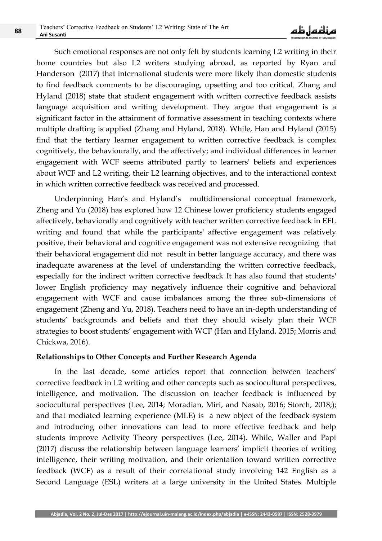Such emotional responses are not only felt by students learning L2 writing in their home countries but also L2 writers studying abroad, as reported by Ryan and Handerson (2017) that international students were more likely than domestic students to find feedback comments to be discouraging, upsetting and too critical. Zhang and Hyland (2018) state that student engagement with written corrective feedback assists language acquisition and writing development. They argue that engagement is a significant factor in the attainment of formative assessment in teaching contexts where multiple drafting is applied (Zhang and Hyland, 2018). While, Han and Hyland (2015) find that the tertiary learner engagement to written corrective feedback is complex cognitively, the behaviourally, and the affectively; and individual differences in learner engagement with WCF seems attributed partly to learners' beliefs and experiences about WCF and L2 writing, their L2 learning objectives, and to the interactional context in which written corrective feedback was received and processed.

Underpinning Han's and Hyland's multidimensional conceptual framework, Zheng and Yu (2018) has explored how 12 Chinese lower proficiency students engaged affectively, behaviorally and cognitively with teacher written corrective feedback in EFL writing and found that while the participants' affective engagement was relatively positive, their behavioral and cognitive engagement was not extensive recognizing that their behavioral engagement did not result in better language accuracy, and there was inadequate awareness at the level of understanding the written corrective feedback, especially for the indirect written corrective feedback It has also found that students' lower English proficiency may negatively influence their cognitive and behavioral engagement with WCF and cause imbalances among the three sub-dimensions of engagement (Zheng and Yu, 2018). Teachers need to have an in-depth understanding of students" backgrounds and beliefs and that they should wisely plan their WCF strategies to boost students' engagement with WCF (Han and Hyland, 2015; Morris and Chickwa, 2016).

#### **Relationships to Other Concepts and Further Research Agenda**

In the last decade, some articles report that connection between teachers' corrective feedback in L2 writing and other concepts such as sociocultural perspectives, intelligence, and motivation. The discussion on teacher feedback is influenced by sociocultural perspectives (Lee, 2014; Moradian, Miri, and Nasab, 2016; Storch, 2018;); and that mediated learning experience (MLE) is a new object of the feedback system and introducing other innovations can lead to more effective feedback and help students improve Activity Theory perspectives (Lee, 2014). While, Waller and Papi (2017) discuss the relationship between language learners' implicit theories of writing intelligence, their writing motivation, and their orientation toward written corrective feedback (WCF) as a result of their correlational study involving 142 English as a Second Language (ESL) writers at a large university in the United States. Multiple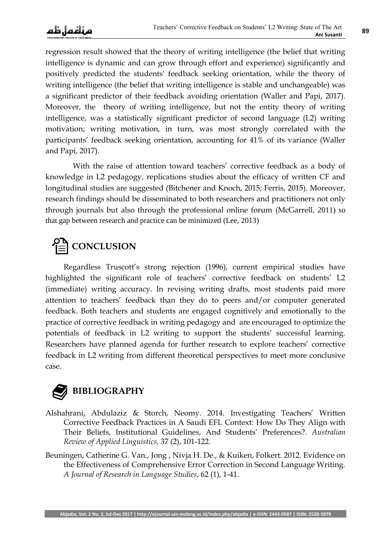regression result showed that the theory of writing intelligence (the belief that writing intelligence is dynamic and can grow through effort and experience) significantly and positively predicted the students' feedback seeking orientation, while the theory of writing intelligence (the belief that writing intelligence is stable and unchangeable) was a significant predictor of their feedback avoiding orientation (Waller and Papi, 2017). Moreover, the theory of writing intelligence, but not the entity theory of writing intelligence, was a statistically significant predictor of second language (L2) writing motivation; writing motivation, in turn, was most strongly correlated with the participants' feedback seeking orientation, accounting for 41% of its variance (Waller and Papi, 2017).

With the raise of attention toward teachers' corrective feedback as a body of knowledge in L2 pedagogy, replications studies about the efficacy of written CF and longitudinal studies are suggested (Bitchener and Knoch, 2015; Ferris, 2015). Moreover, research findings should be disseminated to both researchers and practitioners not only through journals but also through the professional online forum (McGarrell, 2011) so that gap between research and practice can be minimized (Lee, 2013)

# **CONCLUSION**

Regardless Truscott's strong rejection (1996), current empirical studies have highlighted the significant role of teachers' corrective feedback on students' L2 (immediate) writing accuracy. In revising writing drafts, most students paid more attention to teachers' feedback than they do to peers and/or computer generated feedback. Both teachers and students are engaged cognitively and emotionally to the practice of corrective feedback in writing pedagogy and are encouraged to optimize the potentials of feedback in L2 writing to support the students' successful learning. Researchers have planned agenda for further research to explore teachers' corrective feedback in L2 writing from different theoretical perspectives to meet more conclusive case.

## **BIBLIOGRAPHY**

- Alshahrani, Abdulaziz & Storch, Neomy. 2014. Investigating Teachers' Written Corrective Feedback Practices in A Saudi EFL Context: How Do They Align with Their Beliefs, Institutional Guidelines, And Students" Preferences?. *Australian Review of Applied Linguistics,* 37 (2), 101-122.
- Beuningen, Catherine G. Van., Jong , Nivja H. De., & Kuiken, Folkert. 2012. Evidence on the Effectiveness of Comprehensive Error Correction in Second Language Writing. *A Journal of Research in Language Studies*, 62 (1), 1-41.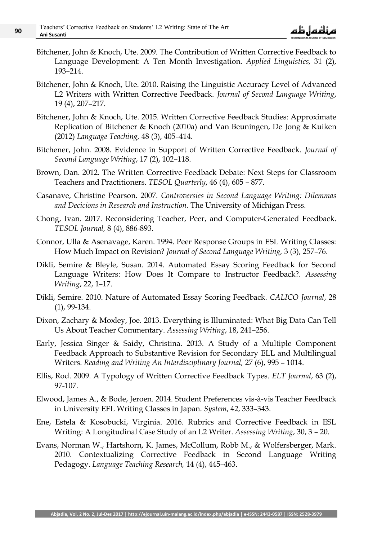- Bitchener, John & Knoch, Ute. 2009. The Contribution of Written Corrective Feedback to Language Development: A Ten Month Investigation. *Applied Linguistics,* 31 (2), 193–214.
- Bitchener, John & Knoch, Ute. 2010. Raising the Linguistic Accuracy Level of Advanced L2 Writers with Written Corrective Feedback. *Journal of Second Language Writing*, 19 (4), 207–217.
- Bitchener, John & Knoch, Ute. 2015. Written Corrective Feedback Studies: Approximate Replication of Bitchener & Knoch (2010a) and Van Beuningen, De Jong & Kuiken (2012) *Language Teaching,* 48 (3), 405–414.
- Bitchener, John. 2008. Evidence in Support of Written Corrective Feedback. *Journal of Second Language Writing*, 17 (2), 102–118.
- Brown, Dan. 2012. The Written Corrective Feedback Debate: Next Steps for Classroom Teachers and Practitioners. *TESOL Quarterly*, 46 (4), 605 – 877.
- Casanave, Christine Pearson. 2007. *Controversies in Second Language Writing: Dilemmas and Decicions in Research and Instruction.* The University of Michigan Press.
- Chong, Ivan. 2017. Reconsidering Teacher, Peer, and Computer-Generated Feedback. *TESOL Journal,* 8 (4), 886-893.
- Connor, Ulla & Asenavage, Karen. 1994. Peer Response Groups in ESL Writing Classes: How Much Impact on Revision? *Journal of Second Language Writing,* 3 (3), 257–76.
- Dikli, Semire & Bleyle, Susan. 2014. Automated Essay Scoring Feedback for Second Language Writers: How Does It Compare to Instructor Feedback?. *Assessing Writing*, 22, 1–17.
- Dikli, Semire. 2010. Nature of Automated Essay Scoring Feedback. *CALICO Journal*, 28 (1), 99-134.
- Dixon, Zachary & Moxley, Joe. 2013. Everything is Illuminated: What Big Data Can Tell Us About Teacher Commentary. *Assessing Writing*, 18, 241–256.
- Early, Jessica Singer & Saidy, Christina. 2013. A Study of a Multiple Component Feedback Approach to Substantive Revision for Secondary ELL and Multilingual Writers. *Reading and Writing An Interdisciplinary Journal,* 27 (6), 995 – 1014.
- Ellis, Rod. 2009. A Typology of Written Corrective Feedback Types. *ELT Journal*, 63 (2), 97-107.
- Elwood, James A., & Bode, Jeroen. 2014. Student Preferences vis-à-vis Teacher Feedback in University EFL Writing Classes in Japan. *System*, 42, 333–343.
- Ene, Estela & Kosobucki, Virginia. 2016. Rubrics and Corrective Feedback in ESL Writing: A Longitudinal Case Study of an L2 Writer. *Assessing Writing*, 30, 3 – 20.
- Evans, Norman W., Hartshorn, K. James, McCollum, Robb M., & Wolfersberger, Mark. 2010. Contextualizing Corrective Feedback in Second Language Writing Pedagogy. *Language Teaching Research,* 14 (4), 445–463.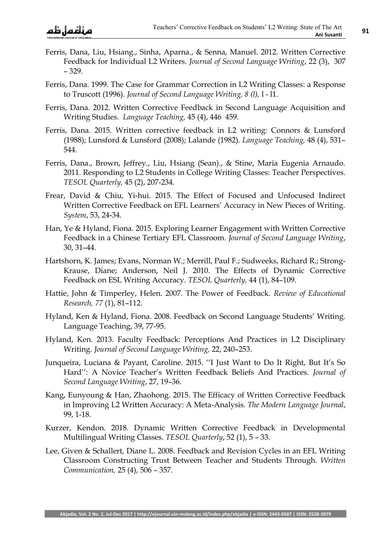- Ferris, Dana, Liu, Hsiang., Sinha, Aparna., & Senna, Manuel. 2012. Written Corrective Feedback for Individual L2 Writers. *Journal of Second Language Writing*, 22 (3), 307 – 329.
- Ferris, Dana. 1999. The Case for Grammar Correction in L2 Writing Classes: a Response to Truscott (1996). *Journal of Second Language Writing, 8 (l),* l - l1.
- Ferris, Dana. 2012. Written Corrective Feedback in Second Language Acquisition and Writing Studies. *Language Teaching,* 45 (4), 446 459.
- Ferris, Dana. 2015. Written corrective feedback in L2 writing: Connors & Lunsford (1988); Lunsford & Lunsford (2008); Lalande (1982). *Language Teaching,* 48 (4), 531– 544.
- Ferris, Dana., Brown, Jeffrey., Liu, Hsiang (Sean)., & Stine, Maria Eugenia Arnaudo. 2011. Responding to L2 Students in College Writing Classes: Teacher Perspectives. *TESOL Quarterly,* 45 (2), 207-234.
- Frear, David & Chiu, Yi-hui. 2015. The Effect of Focused and Unfocused Indirect Written Corrective Feedback on EFL Learners' Accuracy in New Pieces of Writing. *System*, 53, 24-34.
- Han, Ye & Hyland, Fiona. 2015. Exploring Learner Engagement with Written Corrective Feedback in a Chinese Tertiary EFL Classroom. *Journal of Second Language Writing*, 30, 31–44.
- Hartshorn, K. James; Evans, Norman W.; Merrill, Paul F.; Sudweeks, Richard R.; Strong-Krause, Diane; Anderson, Neil J. 2010. The Effects of Dynamic Corrective Feedback on ESL Writing Accuracy. *TESOL Quarterly,* 44 (1), 84–109.
- Hattie, John & Timperley, Helen. 2007. The Power of Feedback. *Review of Educational Research, 77* (1), 81–112.
- Hyland, Ken & Hyland, Fiona. 2008. Feedback on Second Language Students" Writing. Language Teaching, 39, 77-95.
- Hyland, Ken. 2013. Faculty Feedback: Perceptions And Practices in L2 Disciplinary Writing. *Journal of Second Language Writing,* 22, 240–253.
- Junqueira, Luciana & Payant, Caroline. 2015. "I Just Want to Do It Right, But It's So Hard": A Novice Teacher's Written Feedback Beliefs And Practices. *Journal of Second Language Writing*, 27, 19–36.
- Kang, Eunyoung & Han, Zhaohong. 2015. The Efficacy of Written Corrective Feedback in Improving L2 Written Accuracy: A Meta-Analysis. *The Modern Language Journal*, 99, 1-18.
- Kurzer, Kendon. 2018. Dynamic Written Corrective Feedback in Developmental Multilingual Writing Classes. *TESOL Quarterly*, 52 (1), 5 – 33.
- Lee, Given & Schallert, Diane L. 2008. Feedback and Revision Cycles in an EFL Writing Classroom Constructing Trust Between Teacher and Students Through. *Written Communication,* 25 (4), 506 – 357.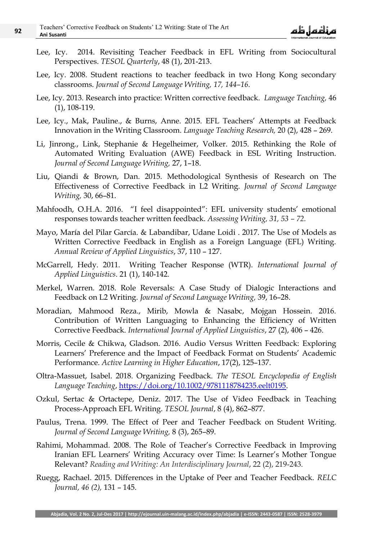- Lee, Icy. 2014. Revisiting Teacher Feedback in EFL Writing from Sociocultural Perspectives. *TESOL Quarterly*, 48 (1), 201-213.
- Lee, Icy. 2008. Student reactions to teacher feedback in two Hong Kong secondary classrooms. *Journal of Second Language Writing, 17, 144–16.*
- Lee, Icy. 2013. Research into practice: Written corrective feedback. *Language Teaching,* 46 (1), 108-119.
- Lee, Icy., Mak, Pauline., & Burns, Anne. 2015. EFL Teachers' Attempts at Feedback Innovation in the Writing Classroom. *Language Teaching Research,* 20 (2), 428 – 269.
- Li, Jinrong., Link, Stephanie & Hegelheimer, Volker. 2015. Rethinking the Role of Automated Writing Evaluation (AWE) Feedback in ESL Writing Instruction. *Journal of Second Language Writing,* 27, 1–18.
- Liu, Qiandi & Brown, Dan. 2015. Methodological Synthesis of Research on The Effectiveness of Corrective Feedback in L2 Writing. *Journal of Second Language Writing,* 30, 66–81.
- Mahfoodh, O.H.A. 2016. "I feel disappointed": EFL university students' emotional responses towards teacher written feedback. *Assessing Writing, 31, 53 – 72.*
- Mayo, María del Pilar García. & Labandibar, Udane Loidi . 2017. The Use of Models as Written Corrective Feedback in English as a Foreign Language (EFL) Writing. *Annual Review of Applied Linguistics*, 37, 110 – 127.
- McGarrell, Hedy. 2011. Writing Teacher Response (WTR). *International Journal of Applied Linguistics*. 21 (1), 140-142.
- Merkel, Warren. 2018. Role Reversals: A Case Study of Dialogic Interactions and Feedback on L2 Writing. *Journal of Second Language Writing,* 39, 16–28.
- Moradian, Mahmood Reza., Mirib, Mowla & Nasabc, Mojgan Hossein. 2016. Contribution of Written Languaging to Enhancing the Efficiency of Written Corrective Feedback. *International Journal of Applied Linguistics*, 27 (2), 406 – 426.
- Morris, Cecile & Chikwa, Gladson. 2016. Audio Versus Written Feedback: Exploring Learners' Preference and the Impact of Feedback Format on Students' Academic Performance. *Active Learning in Higher Education*, 17(2), 125–137.
- Oltra-Massuet, Isabel. 2018. Organizing Feedback. *The TESOL Encyclopedia of English Language Teaching*, [https://doi.org/10.1002/9781118784235.eelt0195.](https://doi.org/10.1002/9781118784235.eelt0195)
- Ozkul, Sertac & Ortactepe, Deniz. 2017. The Use of Video Feedback in Teaching Process-Approach EFL Writing. *TESOL Journal*, 8 (4), 862–877.
- Paulus, Trena. 1999. The Effect of Peer and Teacher Feedback on Student Writing. *Journal of Second Language Writing,* 8 (3), 265–89.
- Rahimi, Mohammad. 2008. The Role of Teacher's Corrective Feedback in Improving Iranian EFL Learners' Writing Accuracy over Time: Is Learner's Mother Tongue Relevant? *Reading and Writing: An Interdisciplinary Journal*, 22 (2), 219-243.
- Ruegg, Rachael. 2015. Differences in the Uptake of Peer and Teacher Feedback. *RELC Journal, 46 (2),* 131 – 145.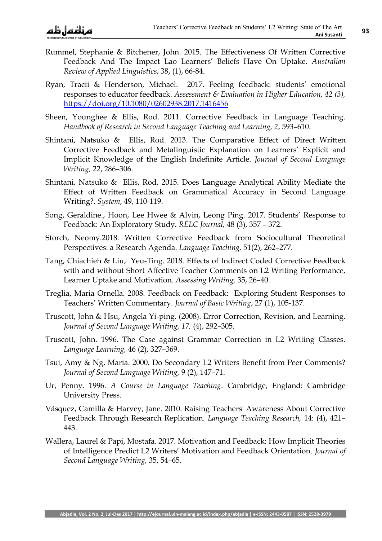- Rummel, Stephanie & Bitchener, John. 2015. The Effectiveness Of Written Corrective Feedback And The Impact Lao Learners" Beliefs Have On Uptake. *Australian Review of Applied Linguistics*, 38, (1), 66-84.
- Ryan, Tracii & Henderson, Michael. 2017. Feeling feedback: students' emotional responses to educator feedback. *Assessment & Evaluation in Higher Education, 42 (3),*  <https://doi.org/10.1080/02602938.2017.1416456>
- Sheen, Younghee & Ellis, Rod. 2011. Corrective Feedback in Language Teaching. *Handbook of Research in Second Language Teaching and Learning, 2*, 593–610.
- Shintani, Natsuko & Ellis, Rod. 2013. The Comparative Effect of Direct Written Corrective Feedback and Metalinguistic Explanation on Learners' Explicit and Implicit Knowledge of the English Indefinite Article. *Journal of Second Language Writing,* 22, 286–306.
- Shintani, Natsuko & Ellis, Rod. 2015. Does Language Analytical Ability Mediate the Effect of Written Feedback on Grammatical Accuracy in Second Language Writing?. *System*, 49, 110-119.
- Song, Geraldine., Hoon, Lee Hwee & Alvin, Leong Ping. 2017. Students' Response to Feedback: An Exploratory Study. *RELC Journal,* 48 (3), 357 – 372.
- Storch, Neomy.2018. Written Corrective Feedback from Sociocultural Theoretical Perspectives: a Research Agenda. *Language Teaching,* 51(2), 262–277.
- Tang, Chiachieh & Liu, Yeu-Ting. 2018. Effects of Indirect Coded Corrective Feedback with and without Short Affective Teacher Comments on L2 Writing Performance, Learner Uptake and Motivation. *Assessing Writing,* 35, 26–40.
- Treglia, Maria Ornella. 2008. Feedback on Feedback: Exploring Student Responses to Teachers" Written Commentary. *Journal of Basic Writing*, 27 (1), 105-137.
- Truscott, John & Hsu, Angela Yi-ping. (2008). Error Correction, Revision, and Learning. *Journal of Second Language Writing, 17,* (4), 292–305.
- Truscott, John. 1996. The Case against Grammar Correction in L2 Writing Classes. *Language Learning,* 46 (2), 327–369.
- Tsui, Amy & Ng, Maria. 2000. Do Secondary L2 Writers Benefit from Peer Comments? *Journal of Second Language Writing,* 9 (2), 147–71.
- Ur, Penny. 1996. *A Course in Language Teaching*. Cambridge, England: Cambridge University Press.
- Vásquez, Camilla & Harvey, Jane. 2010. Raising Teachers' Awareness About Corrective Feedback Through Research Replication. *Language Teaching Research,* 14: (4), 421– 443.
- Wallera, Laurel & Papi, Mostafa. 2017. Motivation and Feedback: How Implicit Theories of Intelligence Predict L2 Writers" Motivation and Feedback Orientation. *Journal of Second Language Writing,* 35, 54–65.